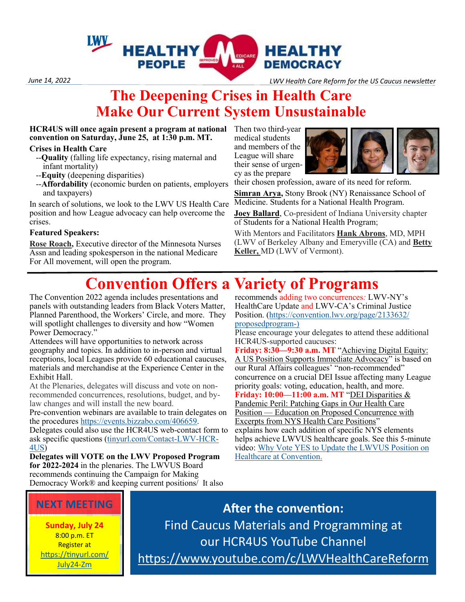

*June 14, 2022 LWV Health Care Reform for the US Caucus newsletter*

### **The Deepening Crises in Health Care Make Our Current System Unsustainable**

**HCR4US will once again present a program at national convention on Saturday, June 25, at 1:30 p.m. MT.**

#### **Crises in Health Care**

- --**Quality** (falling life expectancy, rising maternal and infant mortality)
- --**Equity** (deepening disparities)
- --**Affordability** (economic burden on patients, employers and taxpayers)

In search of solutions, we look to the LWV US Health Care position and how League advocacy can help overcome the crises.

#### **Featured Speakers:**

**Rose Roach,** Executive director of the Minnesota Nurses Assn and leading spokesperson in the national Medicare For All movement, will open the program.

Then two third-year medical students and members of the League will share their sense of urgency as the prepare



their chosen profession, aware of its need for reform.

**Simran Arya,** Stony Brook (NY) Renaissance School of Medicine. Students for a National Health Program.

**Joey Ballard**, Co-president of Indiana University chapter of Students for a National Health Program;

With Mentors and Facilitators **Hank Abrons**, MD, MPH (LWV of Berkeley Albany and Emeryville (CA) and **Betty Keller,** MD (LWV of Vermont).

# **Convention Offers a Variety of Programs**

The Convention 2022 agenda includes presentations and panels with outstanding leaders from Black Voters Matter, Planned Parenthood, the Workers' Circle, and more. They will spotlight challenges to diversity and how "Women Power Democracy."

Attendees will have opportunities to network across geography and topics. In addition to in-person and virtual receptions, local Leagues provide 60 educational caucuses, materials and merchandise at the Experience Center in the Exhibit Hall.

At the Plenaries, delegates will discuss and vote on nonrecommended concurrences, resolutions, budget, and bylaw changes and will install the new board.

Pre-convention webinars are available to train delegates on the procedures [https://events.bizzabo.com/406659.](about:blank)

Delegates could also use the HCR4US web-contact form to ask specific questions [\(tinyurl.com/Contact](tinyurl.com/Contact-LWV-HCR-4US)-LWV-HCR-[4US\)](tinyurl.com/Contact-LWV-HCR-4US)

**Delegates will VOTE on the LWV Proposed Program for 2022-2024** in the plenaries. The LWVUS Board recommends continuing the Campaign for Making Democracy Work® and keeping current positions/ It also

recommends adding two concurrences*:* LWV-NY's HealthCare Update and LWV-CA's Criminal Justice Position. ([https://convention.lwv.org/page/2133632/](https://convention.lwv.org/page/2133632/proposedprogram-)) [proposedprogram](https://convention.lwv.org/page/2133632/proposedprogram-))-)

Please encourage your delegates to attend these additional HCR4US-supported caucuses:

**Friday: 8:30—9:30 a.m. MT** "Achieving Digital Equity: A US Position Supports Immediate Advocacy" is based on our Rural Affairs colleagues' "non-recommended" concurrence on a crucial DEI Issue affecting many League priority goals: voting, education, health, and more. **Friday: 10:00—11:00 a.m. MT** "DEI Disparities & Pandemic Peril: Patching Gaps in Our Health Care Position — Education on Proposed Concurrence with Excerpts from NYS Health Care Positions" explains how each addition of specific NYS elements helps achieve LWVUS healthcare goals. See this 5-minute video: [Why Vote YES to Update the LWVUS Position on](https://www.youtube.com/watch?v=Ftgi2D4ftxY)  [Healthcare at Convention.](https://www.youtube.com/watch?v=Ftgi2D4ftxY)

### **NEXT MEETING**

**Sunday, July 24** 8:00 p.m. ET Register at [https://tinyurl.com/](about:blank) [July24](about:blank)-Zm

**After the convention:**  Find Caucus Materials and Programming at our HCR4US YouTube Channel [https://www.youtube.com/c/LWVHealthCareReform](about:blank)